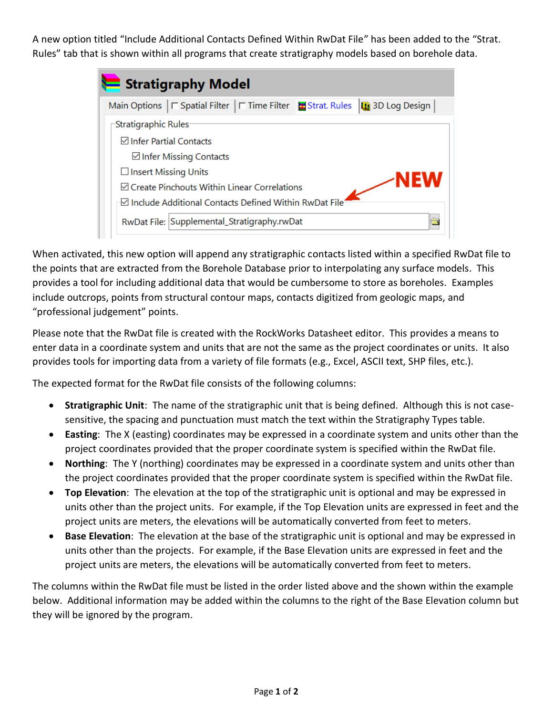A new option titled "Include Additional Contacts Defined Within RwDat File" has been added to the "Strat. Rules" tab that is shown within all programs that create stratigraphy models based on borehole data.

| Stratigraphy Model                                              |                         |  |  |  |  |  |  |  |  |  |
|-----------------------------------------------------------------|-------------------------|--|--|--|--|--|--|--|--|--|
| Main Options   □ Spatial Filter   □ Time Filter   Strat. Rules  | <b>Un</b> 3D Log Design |  |  |  |  |  |  |  |  |  |
| -Stratigraphic Rules                                            |                         |  |  |  |  |  |  |  |  |  |
| <b>⊠</b> Infer Partial Contacts                                 |                         |  |  |  |  |  |  |  |  |  |
| $\boxdot$ Infer Missing Contacts                                |                         |  |  |  |  |  |  |  |  |  |
| $\Box$ Insert Missing Units                                     | NEW                     |  |  |  |  |  |  |  |  |  |
| <b>☑ Create Pinchouts Within Linear Correlations</b>            |                         |  |  |  |  |  |  |  |  |  |
| $\boxdot$ Include Additional Contacts Defined Within RwDat File |                         |  |  |  |  |  |  |  |  |  |
| RwDat File: Supplemental_Stratigraphy.rwDat                     |                         |  |  |  |  |  |  |  |  |  |

When activated, this new option will append any stratigraphic contacts listed within a specified RwDat file to the points that are extracted from the Borehole Database prior to interpolating any surface models. This provides a tool for including additional data that would be cumbersome to store as boreholes. Examples include outcrops, points from structural contour maps, contacts digitized from geologic maps, and "professional judgement" points.

Please note that the RwDat file is created with the RockWorks Datasheet editor. This provides a means to enter data in a coordinate system and units that are not the same as the project coordinates or units. It also provides tools for importing data from a variety of file formats (e.g., Excel, ASCII text, SHP files, etc.).

The expected format for the RwDat file consists of the following columns:

- **Stratigraphic Unit**: The name of the stratigraphic unit that is being defined. Although this is not casesensitive, the spacing and punctuation must match the text within the Stratigraphy Types table.
- **Easting**: The X (easting) coordinates may be expressed in a coordinate system and units other than the project coordinates provided that the proper coordinate system is specified within the RwDat file.
- **Northing**: The Y (northing) coordinates may be expressed in a coordinate system and units other than the project coordinates provided that the proper coordinate system is specified within the RwDat file.
- **Top Elevation**: The elevation at the top of the stratigraphic unit is optional and may be expressed in units other than the project units. For example, if the Top Elevation units are expressed in feet and the project units are meters, the elevations will be automatically converted from feet to meters.
- **Base Elevation**: The elevation at the base of the stratigraphic unit is optional and may be expressed in units other than the projects. For example, if the Base Elevation units are expressed in feet and the project units are meters, the elevations will be automatically converted from feet to meters.

The columns within the RwDat file must be listed in the order listed above and the shown within the example below. Additional information may be added within the columns to the right of the Base Elevation column but they will be ignored by the program.